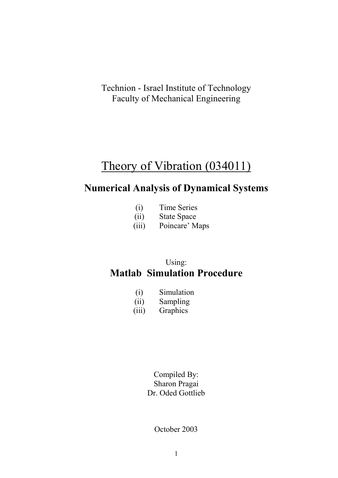Technion - Israel Institute of Technology Faculty of Mechanical Engineering

# Theory of Vibration (034011)

# **Numerical Analysis of Dynamical Systems**

- (i) Time Series
- (ii) State Space
- (iii) Poincare' Maps

## Using: **Matlab Simulation Procedure**

- (i) Simulation
- (ii) Sampling
- (iii) Graphics

Compiled By: Sharon Pragai Dr. Oded Gottlieb

October 2003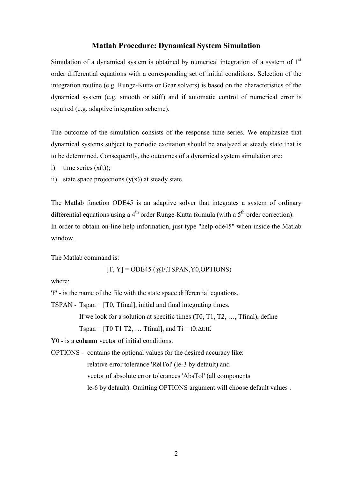### **Matlab Procedure: Dynamical System Simulation**

Simulation of a dynamical system is obtained by numerical integration of a system of  $1<sup>st</sup>$ order differential equations with a corresponding set of initial conditions. Selection of the integration routine (e.g. Runge-Kutta or Gear solvers) is based on the characteristics of the dynamical system (e.g. smooth or stiff) and if automatic control of numerical error is required (e.g. adaptive integration scheme).

The outcome of the simulation consists of the response time series. We emphasize that dynamical systems subject to periodic excitation should be analyzed at steady state that is to be determined. Consequently, the outcomes of a dynamical system simulation are:

- i) time series  $(x(t))$ ;
- ii) state space projections  $(y(x))$  at steady state.

The Matlab function ODE45 is an adaptive solver that integrates a system of ordinary differential equations using a 4<sup>th</sup> order Runge-Kutta formula (with a  $5<sup>th</sup>$  order correction). In order to obtain on-line help information, just type "help ode45" when inside the Matlab window.

The Matlab command is:

 $[T, Y] = ODE45$  ( $@F, TSPAN, Y0, OPTIONS$ )

where:

'F' - is the name of the file with the state space differential equations.

TSPAN - Tspan = [T0, Tfinal], initial and final integrating times.

If we look for a solution at specific times (T0, T1, T2, …, Tfinal), define

Tspan =  $[T0 T1 T2, \dots T$ final, and  $Ti = t0:\Delta t$ :tf.

Y0 - is a **column** vector of initial conditions.

OPTIONS - contains the optional values for the desired accuracy like:

relative error tolerance 'RelTol' (le-3 by default) and

vector of absolute error tolerances 'AbsTol' (all components

le-6 by default). Omitting OPTIONS argument will choose default values .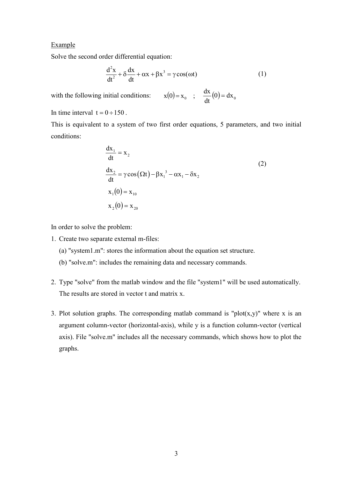#### **Example**

Solve the second order differential equation:

$$
\frac{d^2x}{dt^2} + \delta \frac{dx}{dt} + \alpha x + \beta x^3 = \gamma \cos(\omega t)
$$
 (1)

with the following initial conditions:  $\frac{dx}{dt}(0) = dx_0$  $\frac{dx}{dx}(0) =$ 

In time interval  $t = 0 \div 150$ .

This is equivalent to a system of two first order equations, 5 parameters, and two initial conditions:

$$
\frac{dx_1}{dt} = x_2
$$
  
\n
$$
\frac{dx_2}{dt} = \gamma \cos(\Omega t) - \beta x_1^3 - \alpha x_1 - \delta x_2
$$
  
\n
$$
x_1(0) = x_{10}
$$
  
\n
$$
x_2(0) = x_{20}
$$
\n(2)

In order to solve the problem:

- 1. Create two separate external m-files:
	- (a) "system1.m": stores the information about the equation set structure.
	- (b) "solve.m": includes the remaining data and necessary commands.
- 2. Type "solve" from the matlab window and the file "system1" will be used automatically. The results are stored in vector t and matrix x.
- 3. Plot solution graphs. The corresponding matlab command is "plot $(x,y)$ " where x is an argument column-vector (horizontal-axis), while y is a function column-vector (vertical axis). File "solve.m" includes all the necessary commands, which shows how to plot the graphs.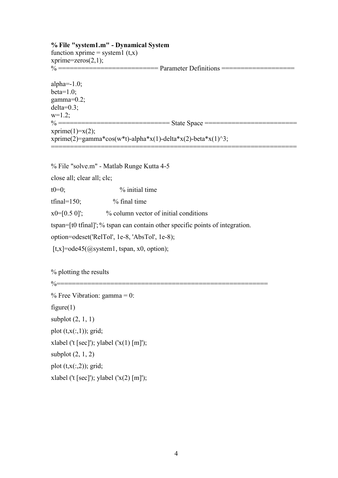**% File "system1.m" - Dynamical System**  function xprime = system1  $(t,x)$ xprime=zeros $(2,1)$ ; % ========================== Parameter Definitions =================== alpha $=-1.0$ ; beta= $1.0$ ; gamma=0.2; delta=0.3;  $w=1.2$ ; % ============================= State Space ========================  $xprime(1)=x(2);$ xprime(2)=gamma\*cos(w\*t)-alpha\*x(1)-delta\*x(2)-beta\*x(1)^3; ================================================================

% File "solve.m" - Matlab Runge Kutta 4-5

close all; clear all; clc;

 $t0=0$ ;  $\%$  initial time

tfinal= $150$ ;  $\%$  final time

 $x0=[0.5 0]'$ ; % column vector of initial conditions

tspan=[t0 tfinal]'; % tspan can contain other specific points of integration.

option=odeset('RelTol', 1e-8, 'AbsTol', 1e-8);

 $[t, x] = ode45(Qsystem1, tspan, x0, option);$ 

% plotting the results

%=======================================================

 $%$  Free Vibration: gamma = 0: figure $(1)$ subplot (2, 1, 1) plot  $(t, x(:,1))$ ; grid; xlabel ('t [sec]'); ylabel  $('x(1) [m]');$ subplot  $(2, 1, 2)$ plot  $(t, x(:,2))$ ; grid; xlabel ('t [sec]'); ylabel  $('x(2) [m]')$ ;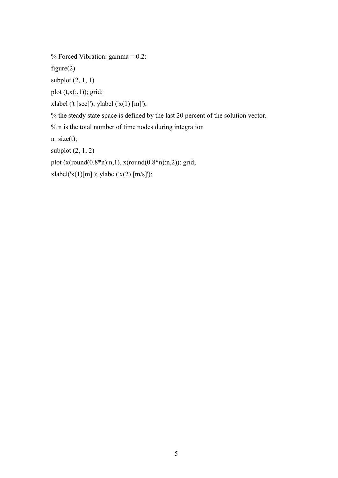% Forced Vibration:  $gamma = 0.2$ :

figure $(2)$ 

subplot  $(2, 1, 1)$ 

plot  $(t, x(:,1))$ ; grid;

xlabel ('t [sec]'); ylabel  $('x(1) [m]')$ ;

% the steady state space is defined by the last 20 percent of the solution vector.

% n is the total number of time nodes during integration

 $n = size(t);$ 

subplot (2, 1, 2)

plot (x(round(0.8\*n):n,1), x(round(0.8\*n):n,2)); grid;

xlabel('x(1)[m]'); ylabel('x(2) [m/s]');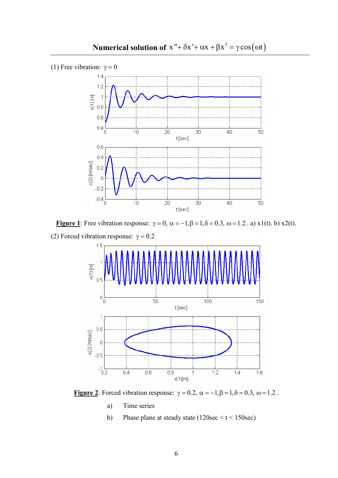

**Figure 1**: Free vibration response:  $\gamma = 0$ ,  $\alpha = -1$ ,  $\beta = 1$ ,  $\delta = 0.3$ ,  $\omega = 1.2$ . a) x1(t). b) x2(t). (2) Forced vibration response:  $\gamma = 0.2$ 



**Figure 2**: Forced vibration response:  $\gamma = 0.2$ ,  $\alpha = -1, \beta = 1, \delta = 0.3$ ,  $\omega = 1.2$ .

- a) Time series
- b) Phase plane at steady state  $(120\sec < t < 150\sec)$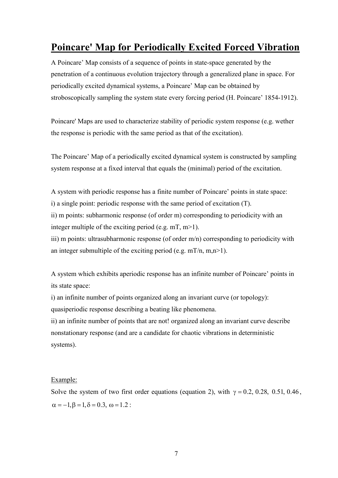# **Poincare' Map for Periodically Excited Forced Vibration**

A Poincare' Map consists of a sequence of points in state-space generated by the penetration of a continuous evolution trajectory through a generalized plane in space. For periodically excited dynamical systems, a Poincare' Map can be obtained by stroboscopically sampling the system state every forcing period (H. Poincare' 1854-1912).

Poincare' Maps are used to characterize stability of periodic system response (e.g. wether the response is periodic with the same period as that of the excitation).

The Poincare' Map of a periodically excited dynamical system is constructed by sampling system response at a fixed interval that equals the (minimal) period of the excitation.

A system with periodic response has a finite number of Poincare' points in state space: i) a single point: periodic response with the same period of excitation (T). ii) m points: subharmonic response (of order m) corresponding to periodicity with an

integer multiple of the exciting period (e.g.  $mT, m>1$ ).

iii) m points: ultrasubharmonic response (of order m/n) corresponding to periodicity with an integer submultiple of the exciting period (e.g.  $mT/n$ ,  $m,n>1$ ).

A system which exhibits aperiodic response has an infinite number of Poincare' points in its state space:

i) an infinite number of points organized along an invariant curve (or topology):

quasiperiodic response describing a beating like phenomena.

ii) an infinite number of points that are not! organized along an invariant curve describe nonstationary response (and are a candidate for chaotic vibrations in deterministic systems).

### Example:

Solve the system of two first order equations (equation 2), with  $\gamma = 0.2$ , 0.28, 0.51, 0.46,  $\alpha = -1.6 = 1, \delta = 0.3, \omega = 1.2$ :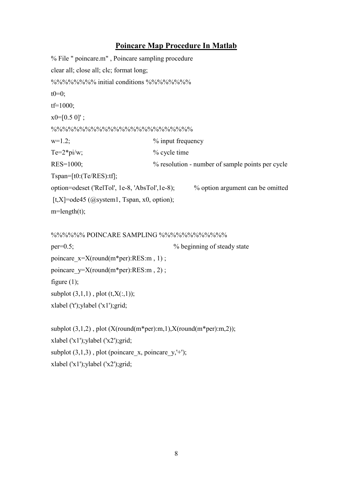### **Poincare Map Procedure In Matlab**

```
% File " poincare.m" , Poincare sampling procedure 
clear all; close all; clc; format long; 
%%%%%%%%%%%%%%%%%%%%%%%%%%%
t0=0;tf=1000; 
x0=[0.5 0]';
\frac{9}{9}\% \frac{9}{9}\% \frac{9}{9}\% \frac{9}{9}\% \frac{9}{9}\% \frac{9}{9}\% \frac{9}{9}\% \frac{9}{9}\% \frac{9}{9}\% \frac{9}{9}\% \frac{9}{9}\% \frac{9}{9}\% \frac{9}{9}\% \frac{9}{9}\% \frac{9}{9}\% \frac{9}{9}\% \frac{9}{9}\% \frac{9}{9}\% \frac{9}{9}\% \frac{9}{9}\% \frac{9}{9}\% \frac{9}{9}\% \frac{9}{9}\% \frac{9}{9}\% \frac{9}{9}\% \frac{9}{9}\% \frac{9}{9}\% \frac{9w=1.2; \% input frequency
Te=2*pi/w; % cycle time
RES=1000; % \% resolution - number of sample points per cycle
Tspan=[t0:(Te/RES):tf]; 
option=odeset ('RelTol', 1e-8, 'AbsTol',1e-8); % option argument can be omitted 
[t, X] =ode45 (@system1, Tspan, x0, option);
m = length(t);%%%%%% POINCARE SAMPLING %%%%%%%%%%%% 
per=0.5; % beginning of steady state 
poincare x=X(round(m*per):RES:m , 1);
poincare y=X(round(m*per):RES:m , 2);
figure (1);
subplot (3,1,1), plot (t,X(:,1));
xlabel ('t');ylabel ('x1');grid; 
subplot (3,1,2), plot (X(round(m<sup>*</sup>per):m,1),X(round(m<sup>*</sup>per):m,2));xlabel ('x1');ylabel ('x2');grid; 
subplot (3,1,3), plot (poincare x, poincare y,'+');
```
xlabel ('x1');ylabel ('x2');grid;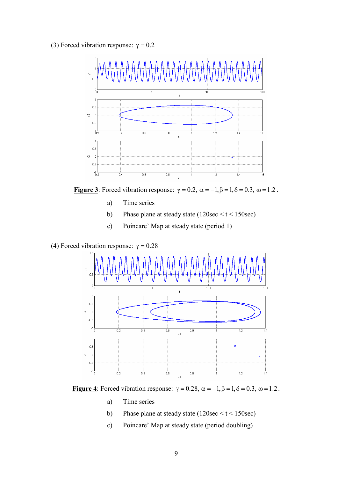(3) Forced vibration response:  $\gamma = 0.2$ 



**Figure 3**: Forced vibration response:  $\gamma = 0.2$ ,  $\alpha = -1, \beta = 1, \delta = 0.3$ ,  $\omega = 1.2$ .

- a) Time series
- b) Phase plane at steady state (120sec  $\le t \le 150$ sec)
- c) Poincare' Map at steady state (period 1)
- (4) Forced vibration response:  $\gamma = 0.28$



**Figure 4**: Forced vibration response:  $\gamma = 0.28$ ,  $\alpha = -1, \beta = 1, \delta = 0.3$ ,  $\omega = 1.2$ .

- a) Time series
- b) Phase plane at steady state  $(120\sec < t < 150\sec)$
- c) Poincare' Map at steady state (period doubling)